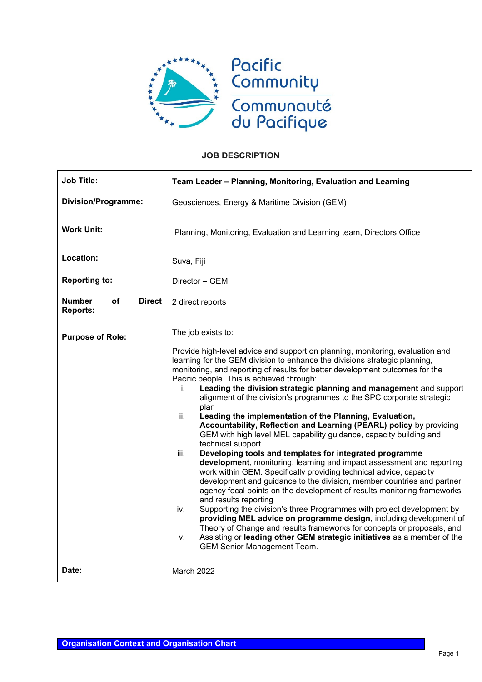

# **JOB DESCRIPTION**

| <b>Job Title:</b>                                       | Team Leader - Planning, Monitoring, Evaluation and Learning                                                                                                                                                                                                                                                                                                                                                                                                                                                                                                                                                                                                                                                                                                                                                                                                                                                                                                                                                                                                                                                                                                                                                                                                                                                                                                                                                                                                             |  |
|---------------------------------------------------------|-------------------------------------------------------------------------------------------------------------------------------------------------------------------------------------------------------------------------------------------------------------------------------------------------------------------------------------------------------------------------------------------------------------------------------------------------------------------------------------------------------------------------------------------------------------------------------------------------------------------------------------------------------------------------------------------------------------------------------------------------------------------------------------------------------------------------------------------------------------------------------------------------------------------------------------------------------------------------------------------------------------------------------------------------------------------------------------------------------------------------------------------------------------------------------------------------------------------------------------------------------------------------------------------------------------------------------------------------------------------------------------------------------------------------------------------------------------------------|--|
| <b>Division/Programme:</b>                              | Geosciences, Energy & Maritime Division (GEM)                                                                                                                                                                                                                                                                                                                                                                                                                                                                                                                                                                                                                                                                                                                                                                                                                                                                                                                                                                                                                                                                                                                                                                                                                                                                                                                                                                                                                           |  |
| <b>Work Unit:</b>                                       | Planning, Monitoring, Evaluation and Learning team, Directors Office                                                                                                                                                                                                                                                                                                                                                                                                                                                                                                                                                                                                                                                                                                                                                                                                                                                                                                                                                                                                                                                                                                                                                                                                                                                                                                                                                                                                    |  |
| Location:                                               | Suva, Fiji                                                                                                                                                                                                                                                                                                                                                                                                                                                                                                                                                                                                                                                                                                                                                                                                                                                                                                                                                                                                                                                                                                                                                                                                                                                                                                                                                                                                                                                              |  |
| <b>Reporting to:</b>                                    | Director - GEM                                                                                                                                                                                                                                                                                                                                                                                                                                                                                                                                                                                                                                                                                                                                                                                                                                                                                                                                                                                                                                                                                                                                                                                                                                                                                                                                                                                                                                                          |  |
| <b>Number</b><br>оf<br><b>Direct</b><br><b>Reports:</b> | 2 direct reports                                                                                                                                                                                                                                                                                                                                                                                                                                                                                                                                                                                                                                                                                                                                                                                                                                                                                                                                                                                                                                                                                                                                                                                                                                                                                                                                                                                                                                                        |  |
| <b>Purpose of Role:</b>                                 | The job exists to:<br>Provide high-level advice and support on planning, monitoring, evaluation and<br>learning for the GEM division to enhance the divisions strategic planning,<br>monitoring, and reporting of results for better development outcomes for the<br>Pacific people. This is achieved through:<br>Leading the division strategic planning and management and support<br>i.<br>alignment of the division's programmes to the SPC corporate strategic<br>plan<br>ii.<br>Leading the implementation of the Planning, Evaluation,<br>Accountability, Reflection and Learning (PEARL) policy by providing<br>GEM with high level MEL capability guidance, capacity building and<br>technical support<br>Developing tools and templates for integrated programme<br>iii.<br>development, monitoring, learning and impact assessment and reporting<br>work within GEM. Specifically providing technical advice, capacity<br>development and guidance to the division, member countries and partner<br>agency focal points on the development of results monitoring frameworks<br>and results reporting<br>Supporting the division's three Programmes with project development by<br>iv.<br>providing MEL advice on programme design, including development of<br>Theory of Change and results frameworks for concepts or proposals, and<br>Assisting or leading other GEM strategic initiatives as a member of the<br>v.<br><b>GEM Senior Management Team.</b> |  |
| Date:                                                   | March 2022                                                                                                                                                                                                                                                                                                                                                                                                                                                                                                                                                                                                                                                                                                                                                                                                                                                                                                                                                                                                                                                                                                                                                                                                                                                                                                                                                                                                                                                              |  |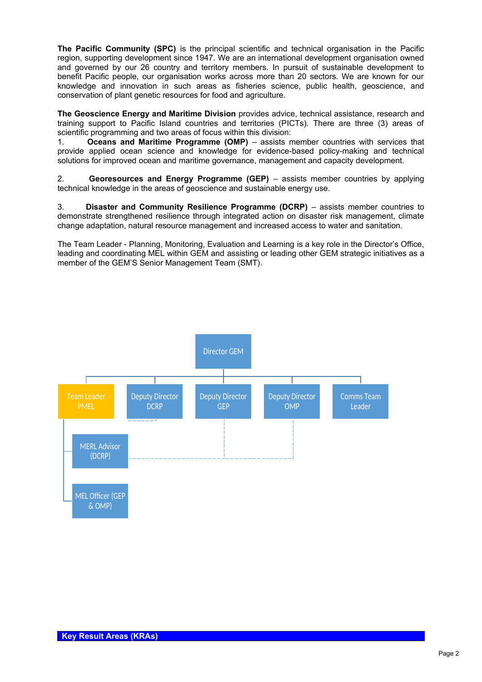**The Pacific Community (SPC)** is the principal scientific and technical organisation in the Pacific region, supporting development since 1947. We are an international development organisation owned and governed by our 26 country and territory members. In pursuit of sustainable development to benefit Pacific people, our organisation works across more than 20 sectors. We are known for our knowledge and innovation in such areas as fisheries science, public health, geoscience, and conservation of plant genetic resources for food and agriculture.

**The Geoscience Energy and Maritime Division** provides advice, technical assistance, research and training support to Pacific Island countries and territories (PICTs). There are three (3) areas of scientific programming and two areas of focus within this division:

1. **Oceans and Maritime Programme (OMP)** – assists member countries with services that provide applied ocean science and knowledge for evidence-based policy-making and technical solutions for improved ocean and maritime governance, management and capacity development.

2. **Georesources and Energy Programme (GEP)** – assists member countries by applying technical knowledge in the areas of geoscience and sustainable energy use.

3. **Disaster and Community Resilience Programme (DCRP)** – assists member countries to demonstrate strengthened resilience through integrated action on disaster risk management, climate change adaptation, natural resource management and increased access to water and sanitation.

The Team Leader - Planning, Monitoring, Evaluation and Learning is a key role in the Director's Office, leading and coordinating MEL within GEM and assisting or leading other GEM strategic initiatives as a member of the GEM'S Senior Management Team (SMT).

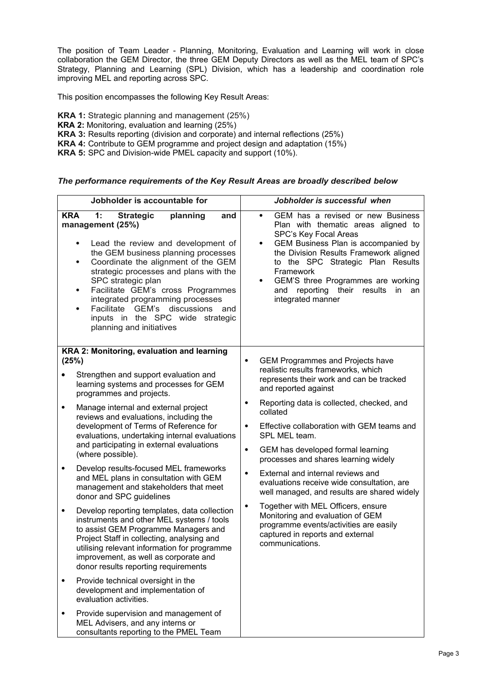The position of Team Leader - Planning, Monitoring, Evaluation and Learning will work in close collaboration the GEM Director, the three GEM Deputy Directors as well as the MEL team of SPC's Strategy, Planning and Learning (SPL) Division, which has a leadership and coordination role improving MEL and reporting across SPC.

This position encompasses the following Key Result Areas:

**KRA 1:** Strategic planning and management (25%)

- **KRA 2:** Monitoring, evaluation and learning (25%)
- **KRA 3:** Results reporting (division and corporate) and internal reflections (25%)
- **KRA 4:** Contribute to GEM programme and project design and adaptation (15%)

**KRA 5:** SPC and Division-wide PMEL capacity and support (10%).

#### *The performance requirements of the Key Result Areas are broadly described below*

| Jobholder is accountable for |                                                                                                                                                                                                                                                                                                                                                                                                                                                                                          | Jobholder is successful when                                                                                                                                                                                                                                                                                                                                                          |  |  |
|------------------------------|------------------------------------------------------------------------------------------------------------------------------------------------------------------------------------------------------------------------------------------------------------------------------------------------------------------------------------------------------------------------------------------------------------------------------------------------------------------------------------------|---------------------------------------------------------------------------------------------------------------------------------------------------------------------------------------------------------------------------------------------------------------------------------------------------------------------------------------------------------------------------------------|--|--|
| <b>KRA</b>                   | 1:<br><b>Strategic</b><br>planning<br>and<br>management (25%)<br>Lead the review and development of<br>$\bullet$<br>the GEM business planning processes<br>Coordinate the alignment of the GEM<br>$\bullet$<br>strategic processes and plans with the<br>SPC strategic plan<br>Facilitate GEM's cross Programmes<br>$\bullet$<br>integrated programming processes<br>Facilitate GEM's<br>discussions<br>and<br>$\bullet$<br>inputs in the SPC wide strategic<br>planning and initiatives | GEM has a revised or new Business<br>$\bullet$<br>Plan with thematic areas aligned to<br>SPC's Key Focal Areas<br>GEM Business Plan is accompanied by<br>$\bullet$<br>the Division Results Framework aligned<br>to the SPC Strategic Plan Results<br>Framework<br>GEM'S three Programmes are working<br>$\bullet$<br>reporting their results<br>and<br>in.<br>an<br>integrated manner |  |  |
|                              | KRA 2: Monitoring, evaluation and learning<br>(25%)                                                                                                                                                                                                                                                                                                                                                                                                                                      | <b>GEM Programmes and Projects have</b><br>$\bullet$                                                                                                                                                                                                                                                                                                                                  |  |  |
|                              | Strengthen and support evaluation and<br>learning systems and processes for GEM<br>programmes and projects.                                                                                                                                                                                                                                                                                                                                                                              | realistic results frameworks, which<br>represents their work and can be tracked<br>and reported against                                                                                                                                                                                                                                                                               |  |  |
| $\bullet$                    | Manage internal and external project<br>reviews and evaluations, including the<br>development of Terms of Reference for<br>evaluations, undertaking internal evaluations<br>and participating in external evaluations<br>(where possible).                                                                                                                                                                                                                                               | Reporting data is collected, checked, and<br>$\bullet$<br>collated<br>Effective collaboration with GEM teams and<br>$\bullet$<br>SPL MEL team.<br>GEM has developed formal learning<br>$\bullet$                                                                                                                                                                                      |  |  |
| $\bullet$                    | Develop results-focused MEL frameworks<br>and MEL plans in consultation with GEM<br>management and stakeholders that meet<br>donor and SPC guidelines                                                                                                                                                                                                                                                                                                                                    | processes and shares learning widely<br>External and internal reviews and<br>$\bullet$<br>evaluations receive wide consultation, are<br>well managed, and results are shared widely                                                                                                                                                                                                   |  |  |
| $\bullet$                    | Develop reporting templates, data collection<br>instruments and other MEL systems / tools<br>to assist GEM Programme Managers and<br>Project Staff in collecting, analysing and<br>utilising relevant information for programme<br>improvement, as well as corporate and<br>donor results reporting requirements                                                                                                                                                                         | Together with MEL Officers, ensure<br>$\bullet$<br>Monitoring and evaluation of GEM<br>programme events/activities are easily<br>captured in reports and external<br>communications.                                                                                                                                                                                                  |  |  |
| $\bullet$                    | Provide technical oversight in the<br>development and implementation of<br>evaluation activities.                                                                                                                                                                                                                                                                                                                                                                                        |                                                                                                                                                                                                                                                                                                                                                                                       |  |  |
| $\bullet$                    | Provide supervision and management of<br>MEL Advisers, and any interns or<br>consultants reporting to the PMEL Team                                                                                                                                                                                                                                                                                                                                                                      |                                                                                                                                                                                                                                                                                                                                                                                       |  |  |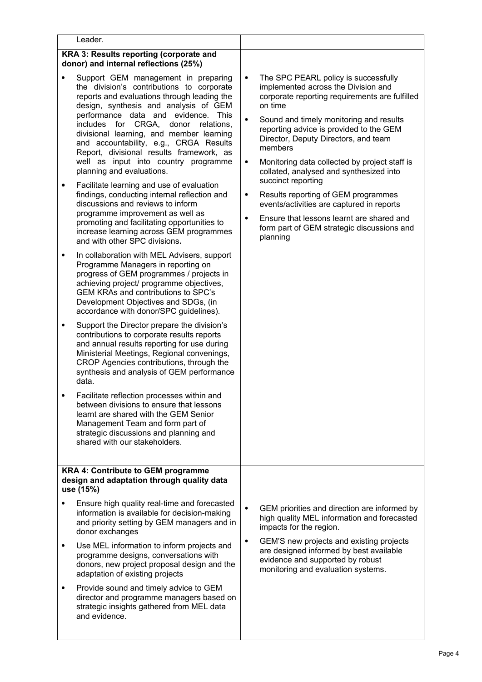| Leader.                                                                                                                                                                                                                                                                                                                                                                                                                                                                                                                                                                                                                                                                                                                                                                                                                                                                                                                                                                                                                                                                                                                                                                                                                                                                                                                                                                                                                                                                                                                                                                                                                                                              |                                                                                                                                                                                                                                                                                                                                                                                                                                                                                                                                                                                                                                                                 |
|----------------------------------------------------------------------------------------------------------------------------------------------------------------------------------------------------------------------------------------------------------------------------------------------------------------------------------------------------------------------------------------------------------------------------------------------------------------------------------------------------------------------------------------------------------------------------------------------------------------------------------------------------------------------------------------------------------------------------------------------------------------------------------------------------------------------------------------------------------------------------------------------------------------------------------------------------------------------------------------------------------------------------------------------------------------------------------------------------------------------------------------------------------------------------------------------------------------------------------------------------------------------------------------------------------------------------------------------------------------------------------------------------------------------------------------------------------------------------------------------------------------------------------------------------------------------------------------------------------------------------------------------------------------------|-----------------------------------------------------------------------------------------------------------------------------------------------------------------------------------------------------------------------------------------------------------------------------------------------------------------------------------------------------------------------------------------------------------------------------------------------------------------------------------------------------------------------------------------------------------------------------------------------------------------------------------------------------------------|
| KRA 3: Results reporting (corporate and<br>donor) and internal reflections (25%)                                                                                                                                                                                                                                                                                                                                                                                                                                                                                                                                                                                                                                                                                                                                                                                                                                                                                                                                                                                                                                                                                                                                                                                                                                                                                                                                                                                                                                                                                                                                                                                     |                                                                                                                                                                                                                                                                                                                                                                                                                                                                                                                                                                                                                                                                 |
| Support GEM management in preparing<br>$\bullet$<br>the division's contributions to corporate<br>reports and evaluations through leading the<br>design, synthesis and analysis of GEM<br>performance data and evidence. This<br>includes for CRGA,<br>donor<br>relations,<br>divisional learning, and member learning<br>and accountability, e.g., CRGA Results<br>Report, divisional results framework, as<br>well as input into country programme<br>planning and evaluations.<br>Facilitate learning and use of evaluation<br>٠<br>findings, conducting internal reflection and<br>discussions and reviews to inform<br>programme improvement as well as<br>promoting and facilitating opportunities to<br>increase learning across GEM programmes<br>and with other SPC divisions.<br>In collaboration with MEL Advisers, support<br>$\bullet$<br>Programme Managers in reporting on<br>progress of GEM programmes / projects in<br>achieving project/ programme objectives,<br>GEM KRAs and contributions to SPC's<br>Development Objectives and SDGs, (in<br>accordance with donor/SPC guidelines).<br>Support the Director prepare the division's<br>$\bullet$<br>contributions to corporate results reports<br>and annual results reporting for use during<br>Ministerial Meetings, Regional convenings,<br>CROP Agencies contributions, through the<br>synthesis and analysis of GEM performance<br>data.<br>Facilitate reflection processes within and<br>between divisions to ensure that lessons<br>learnt are shared with the GEM Senior<br>Management Team and form part of<br>strategic discussions and planning and<br>shared with our stakeholders. | The SPC PEARL policy is successfully<br>$\bullet$<br>implemented across the Division and<br>corporate reporting requirements are fulfilled<br>on time<br>$\bullet$<br>Sound and timely monitoring and results<br>reporting advice is provided to the GEM<br>Director, Deputy Directors, and team<br>members<br>Monitoring data collected by project staff is<br>$\bullet$<br>collated, analysed and synthesized into<br>succinct reporting<br>Results reporting of GEM programmes<br>$\bullet$<br>events/activities are captured in reports<br>Ensure that lessons learnt are shared and<br>$\bullet$<br>form part of GEM strategic discussions and<br>planning |
| <b>KRA 4: Contribute to GEM programme</b><br>design and adaptation through quality data<br>use (15%)                                                                                                                                                                                                                                                                                                                                                                                                                                                                                                                                                                                                                                                                                                                                                                                                                                                                                                                                                                                                                                                                                                                                                                                                                                                                                                                                                                                                                                                                                                                                                                 |                                                                                                                                                                                                                                                                                                                                                                                                                                                                                                                                                                                                                                                                 |
| Ensure high quality real-time and forecasted<br>information is available for decision-making<br>and priority setting by GEM managers and in<br>donor exchanges                                                                                                                                                                                                                                                                                                                                                                                                                                                                                                                                                                                                                                                                                                                                                                                                                                                                                                                                                                                                                                                                                                                                                                                                                                                                                                                                                                                                                                                                                                       | $\bullet$<br>GEM priorities and direction are informed by<br>high quality MEL information and forecasted<br>impacts for the region.                                                                                                                                                                                                                                                                                                                                                                                                                                                                                                                             |
| Use MEL information to inform projects and<br>$\bullet$<br>programme designs, conversations with<br>donors, new project proposal design and the<br>adaptation of existing projects                                                                                                                                                                                                                                                                                                                                                                                                                                                                                                                                                                                                                                                                                                                                                                                                                                                                                                                                                                                                                                                                                                                                                                                                                                                                                                                                                                                                                                                                                   | GEM'S new projects and existing projects<br>$\bullet$<br>are designed informed by best available<br>evidence and supported by robust<br>monitoring and evaluation systems.                                                                                                                                                                                                                                                                                                                                                                                                                                                                                      |
| Provide sound and timely advice to GEM<br>$\bullet$<br>director and programme managers based on<br>strategic insights gathered from MEL data<br>and evidence.                                                                                                                                                                                                                                                                                                                                                                                                                                                                                                                                                                                                                                                                                                                                                                                                                                                                                                                                                                                                                                                                                                                                                                                                                                                                                                                                                                                                                                                                                                        |                                                                                                                                                                                                                                                                                                                                                                                                                                                                                                                                                                                                                                                                 |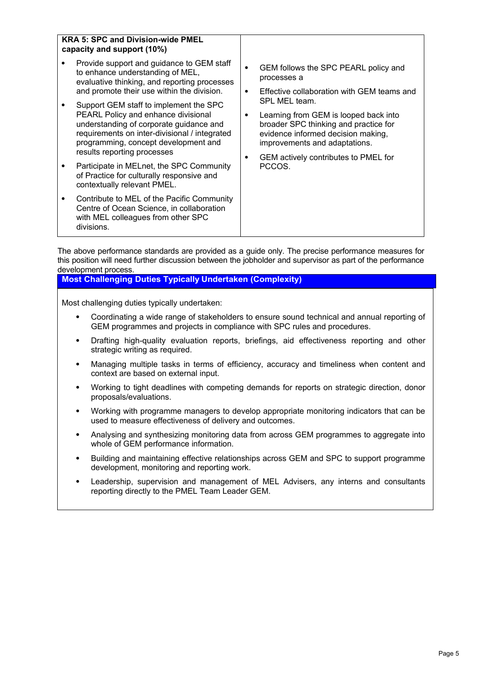| <b>KRA 5: SPC and Division-wide PMEL</b><br>capacity and support (10%)                                                                                                                                                                           |                                                                                                                                                                                                                                    |  |
|--------------------------------------------------------------------------------------------------------------------------------------------------------------------------------------------------------------------------------------------------|------------------------------------------------------------------------------------------------------------------------------------------------------------------------------------------------------------------------------------|--|
| Provide support and guidance to GEM staff<br>to enhance understanding of MEL,<br>evaluative thinking, and reporting processes<br>and promote their use within the division.                                                                      | GEM follows the SPC PEARL policy and<br>٠<br>processes a<br>Effective collaboration with GEM teams and<br>$\bullet$                                                                                                                |  |
| Support GEM staff to implement the SPC<br>PEARL Policy and enhance divisional<br>understanding of corporate guidance and<br>requirements on inter-divisional / integrated<br>programming, concept development and<br>results reporting processes | SPL MEL team.<br>Learning from GEM is looped back into<br>٠<br>broader SPC thinking and practice for<br>evidence informed decision making,<br>improvements and adaptations.<br>GEM actively contributes to PMEL for<br>٠<br>PCCOS. |  |
| Participate in MELnet, the SPC Community<br>of Practice for culturally responsive and<br>contextually relevant PMEL.                                                                                                                             |                                                                                                                                                                                                                                    |  |
| Contribute to MEL of the Pacific Community<br>Centre of Ocean Science, in collaboration<br>with MEL colleagues from other SPC<br>divisions.                                                                                                      |                                                                                                                                                                                                                                    |  |

The above performance standards are provided as a guide only. The precise performance measures for this position will need further discussion between the jobholder and supervisor as part of the performance development process.

## **Most Challenging Duties Typically Undertaken (Complexity)**

Most challenging duties typically undertaken:

- Coordinating a wide range of stakeholders to ensure sound technical and annual reporting of GEM programmes and projects in compliance with SPC rules and procedures.
- Drafting high-quality evaluation reports, briefings, aid effectiveness reporting and other strategic writing as required.
- Managing multiple tasks in terms of efficiency, accuracy and timeliness when content and context are based on external input.
- Working to tight deadlines with competing demands for reports on strategic direction, donor proposals/evaluations.
- Working with programme managers to develop appropriate monitoring indicators that can be used to measure effectiveness of delivery and outcomes.
- Analysing and synthesizing monitoring data from across GEM programmes to aggregate into whole of GEM performance information.
- Building and maintaining effective relationships across GEM and SPC to support programme development, monitoring and reporting work.
- Leadership, supervision and management of MEL Advisers, any interns and consultants reporting directly to the PMEL Team Leader GEM.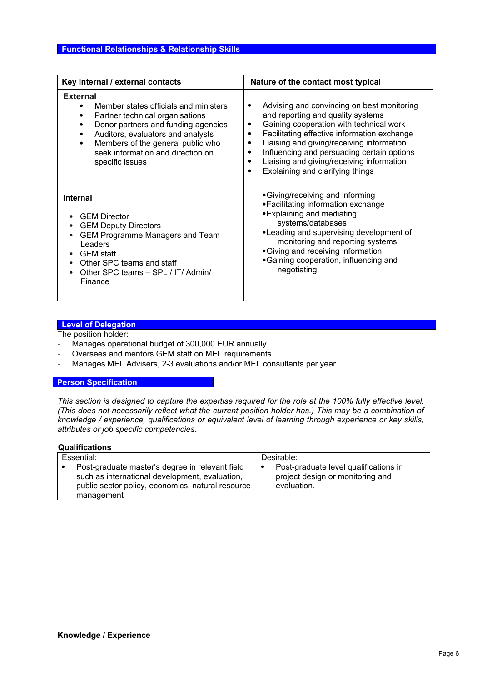| Key internal / external contacts                                                                                                                                                                                                                                               | Nature of the contact most typical                                                                                                                                                                                                                                                                                                                                                               |  |  |
|--------------------------------------------------------------------------------------------------------------------------------------------------------------------------------------------------------------------------------------------------------------------------------|--------------------------------------------------------------------------------------------------------------------------------------------------------------------------------------------------------------------------------------------------------------------------------------------------------------------------------------------------------------------------------------------------|--|--|
| <b>External</b><br>Member states officials and ministers<br>Partner technical organisations<br>Donor partners and funding agencies<br>Auditors, evaluators and analysts<br>٠<br>Members of the general public who<br>٠<br>seek information and direction on<br>specific issues | Advising and convincing on best monitoring<br>٠<br>and reporting and quality systems<br>Gaining cooperation with technical work<br>٠<br>Facilitating effective information exchange<br>٠<br>Liaising and giving/receiving information<br>٠<br>Influencing and persuading certain options<br>٠<br>Liaising and giving/receiving information<br>$\bullet$<br>Explaining and clarifying things<br>٠ |  |  |
| <b>Internal</b><br><b>GEM Director</b><br><b>GEM Deputy Directors</b><br><b>GEM Programme Managers and Team</b><br>Leaders<br><b>GEM</b> staff<br>Other SPC teams and staff<br>Other SPC teams - SPL / IT/ Admin/<br>Finance                                                   | •Giving/receiving and informing<br>• Facilitating information exchange<br>• Explaining and mediating<br>systems/databases<br>•Leading and supervising development of<br>monitoring and reporting systems<br>•Giving and receiving information<br>•Gaining cooperation, influencing and<br>negotiating                                                                                            |  |  |

## **Level of Delegation**

The position holder:

- Manages operational budget of 300,000 EUR annually
- Oversees and mentors GEM staff on MEL requirements
- Manages MEL Advisers, 2-3 evaluations and/or MEL consultants per year.

#### **Person Specification**

*This section is designed to capture the expertise required for the role at the 100% fully effective level. (This does not necessarily reflect what the current position holder has.) This may be a combination of knowledge / experience, qualifications or equivalent level of learning through experience or key skills, attributes or job specific competencies.*

#### **Qualifications**

| Essential:                                                                                                                                                           | Desirable:                                                                               |  |
|----------------------------------------------------------------------------------------------------------------------------------------------------------------------|------------------------------------------------------------------------------------------|--|
| Post-graduate master's degree in relevant field<br>such as international development, evaluation,<br>public sector policy, economics, natural resource<br>management | Post-graduate level qualifications in<br>project design or monitoring and<br>evaluation. |  |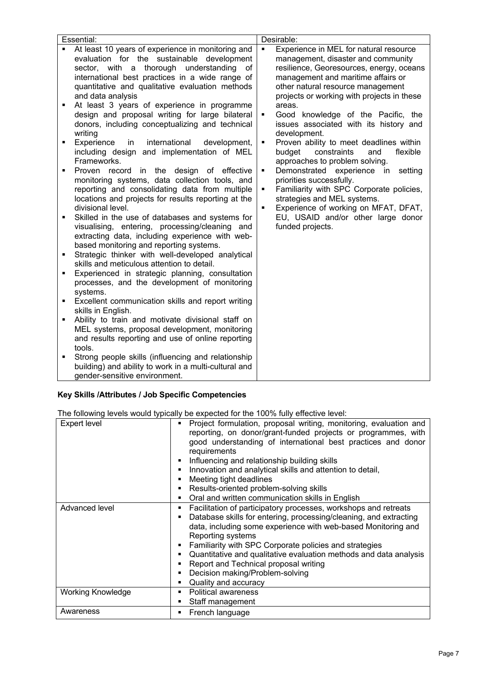| Essential:          |                                                                                                                                                                                                                                                                                                                                         |                                                    | Desirable:                                                                                                                                                                                                                                        |
|---------------------|-----------------------------------------------------------------------------------------------------------------------------------------------------------------------------------------------------------------------------------------------------------------------------------------------------------------------------------------|----------------------------------------------------|---------------------------------------------------------------------------------------------------------------------------------------------------------------------------------------------------------------------------------------------------|
|                     | At least 10 years of experience in monitoring and<br>evaluation for the sustainable development<br>thorough understanding<br>sector, with a<br>0f<br>international best practices in a wide range of<br>quantitative and qualitative evaluation methods<br>and data analysis                                                            | ٠                                                  | Experience in MEL for natural resource<br>management, disaster and community<br>resilience, Georesources, energy, oceans<br>management and maritime affairs or<br>other natural resource management<br>projects or working with projects in these |
| Ξ                   | At least 3 years of experience in programme<br>design and proposal writing for large bilateral<br>donors, including conceptualizing and technical<br>writing                                                                                                                                                                            | $\blacksquare$                                     | areas.<br>Good knowledge of the Pacific, the<br>issues associated with its history and<br>development.                                                                                                                                            |
| Ξ                   | Experience<br>international<br>in<br>development,<br>including design and implementation of MEL<br>Frameworks.                                                                                                                                                                                                                          | ٠                                                  | Proven ability to meet deadlines within<br>budget<br>constraints<br>and<br>flexible<br>approaches to problem solving.                                                                                                                             |
| Ξ                   | Proven record<br>in the design of effective<br>monitoring systems, data collection tools, and<br>reporting and consolidating data from multiple<br>locations and projects for results reporting at the<br>divisional level.                                                                                                             | $\blacksquare$<br>$\blacksquare$<br>$\blacksquare$ | Demonstrated experience in<br>setting<br>priorities successfully.<br>Familiarity with SPC Corporate policies,<br>strategies and MEL systems.<br>Experience of working on MFAT, DFAT,                                                              |
| Ξ<br>$\blacksquare$ | Skilled in the use of databases and systems for<br>visualising, entering, processing/cleaning and<br>extracting data, including experience with web-<br>based monitoring and reporting systems.<br>Strategic thinker with well-developed analytical                                                                                     |                                                    | EU, USAID and/or other large donor<br>funded projects.                                                                                                                                                                                            |
|                     | skills and meticulous attention to detail.                                                                                                                                                                                                                                                                                              |                                                    |                                                                                                                                                                                                                                                   |
| Ξ                   | Experienced in strategic planning, consultation<br>processes, and the development of monitoring<br>systems.                                                                                                                                                                                                                             |                                                    |                                                                                                                                                                                                                                                   |
| ٠                   | Excellent communication skills and report writing                                                                                                                                                                                                                                                                                       |                                                    |                                                                                                                                                                                                                                                   |
| Ξ<br>Ξ              | skills in English.<br>Ability to train and motivate divisional staff on<br>MEL systems, proposal development, monitoring<br>and results reporting and use of online reporting<br>tools.<br>Strong people skills (influencing and relationship<br>building) and ability to work in a multi-cultural and<br>gender-sensitive environment. |                                                    |                                                                                                                                                                                                                                                   |

# **Key Skills /Attributes / Job Specific Competencies**

The following levels would typically be expected for the 100% fully effective level:

| <b>Expert level</b>      | Project formulation, proposal writing, monitoring, evaluation and<br>٠<br>reporting, on donor/grant-funded projects or programmes, with<br>good understanding of international best practices and donor<br>requirements<br>Influencing and relationship building skills<br>п<br>Innovation and analytical skills and attention to detail,<br>Meeting tight deadlines<br>Results-oriented problem-solving skills<br>Oral and written communication skills in English<br>٠ |
|--------------------------|--------------------------------------------------------------------------------------------------------------------------------------------------------------------------------------------------------------------------------------------------------------------------------------------------------------------------------------------------------------------------------------------------------------------------------------------------------------------------|
| Advanced level           | Facilitation of participatory processes, workshops and retreats<br>Database skills for entering, processing/cleaning, and extracting<br>data, including some experience with web-based Monitoring and<br>Reporting systems<br>Familiarity with SPC Corporate policies and strategies<br>Quantitative and qualitative evaluation methods and data analysis<br>Report and Technical proposal writing<br>Decision making/Problem-solving<br>Quality and accuracy            |
| <b>Working Knowledge</b> | <b>Political awareness</b><br>Staff management                                                                                                                                                                                                                                                                                                                                                                                                                           |
| Awareness                | French language                                                                                                                                                                                                                                                                                                                                                                                                                                                          |